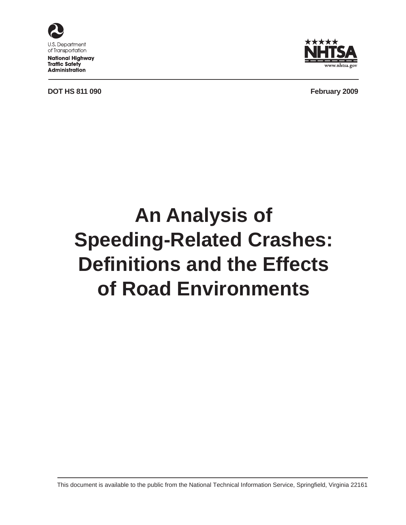

U.S. Department of Transportation **National Highway Traffic Safety Administration** 

**DOT HS 811 090 February 2009** 



# **An Analysis of Speeding-Related Crashes: Definitions and the Effects of Road Environments**

This document is available to the public from the National Technical Information Service, Springfield, Virginia 22161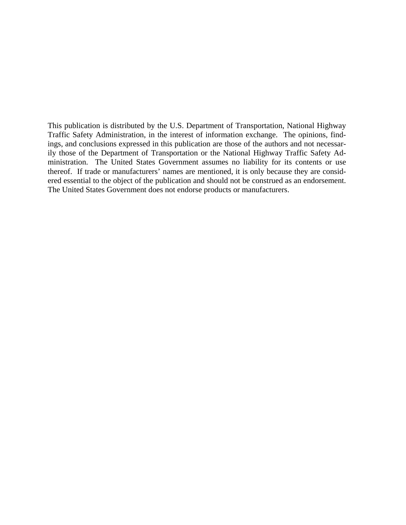This publication is distributed by the U.S. Department of Transportation, National Highway Traffic Safety Administration, in the interest of information exchange. The opinions, findings, and conclusions expressed in this publication are those of the authors and not necessarily those of the Department of Transportation or the National Highway Traffic Safety Administration. The United States Government assumes no liability for its contents or use thereof. If trade or manufacturers' names are mentioned, it is only because they are considered essential to the object of the publication and should not be construed as an endorsement. The United States Government does not endorse products or manufacturers.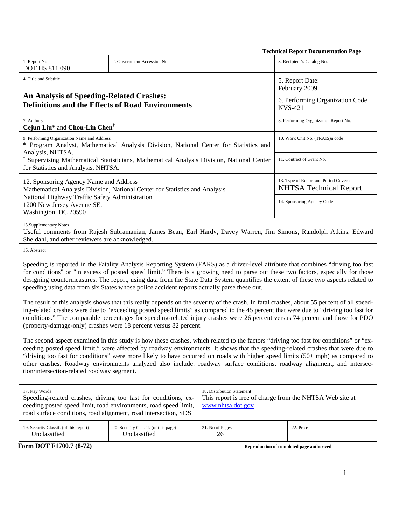|                                                                                                            |                                                                                                                                    | <b>Technical Report Documentation Page</b>                                                                  |                                                                                                                                                                                                                                                                                                                                                                                                                                                                                                                                       |  |  |  |
|------------------------------------------------------------------------------------------------------------|------------------------------------------------------------------------------------------------------------------------------------|-------------------------------------------------------------------------------------------------------------|---------------------------------------------------------------------------------------------------------------------------------------------------------------------------------------------------------------------------------------------------------------------------------------------------------------------------------------------------------------------------------------------------------------------------------------------------------------------------------------------------------------------------------------|--|--|--|
| 1. Report No.<br>DOT HS 811 090                                                                            | 2. Government Accession No.                                                                                                        |                                                                                                             | 3. Recipient's Catalog No.                                                                                                                                                                                                                                                                                                                                                                                                                                                                                                            |  |  |  |
| 4. Title and Subtitle                                                                                      |                                                                                                                                    |                                                                                                             | 5. Report Date:<br>February 2009                                                                                                                                                                                                                                                                                                                                                                                                                                                                                                      |  |  |  |
| <b>An Analysis of Speeding-Related Crashes:</b><br><b>Definitions and the Effects of Road Environments</b> |                                                                                                                                    |                                                                                                             | 6. Performing Organization Code<br><b>NVS-421</b>                                                                                                                                                                                                                                                                                                                                                                                                                                                                                     |  |  |  |
| 7. Authors<br>Cejun Liu* and Chou-Lin Chen <sup>†</sup>                                                    |                                                                                                                                    |                                                                                                             | 8. Performing Organization Report No.                                                                                                                                                                                                                                                                                                                                                                                                                                                                                                 |  |  |  |
| 9. Performing Organization Name and Address<br>Analysis, NHTSA.                                            | * Program Analyst, Mathematical Analysis Division, National Center for Statistics and                                              |                                                                                                             | 10. Work Unit No. (TRAIS)n code                                                                                                                                                                                                                                                                                                                                                                                                                                                                                                       |  |  |  |
| for Statistics and Analysis, NHTSA.                                                                        | <sup>†</sup> Supervising Mathematical Statisticians, Mathematical Analysis Division, National Center                               |                                                                                                             | 11. Contract of Grant No.                                                                                                                                                                                                                                                                                                                                                                                                                                                                                                             |  |  |  |
| 12. Sponsoring Agency Name and Address                                                                     | Mathematical Analysis Division, National Center for Statistics and Analysis                                                        |                                                                                                             | 13. Type of Report and Period Covered<br><b>NHTSA Technical Report</b>                                                                                                                                                                                                                                                                                                                                                                                                                                                                |  |  |  |
| National Highway Traffic Safety Administration<br>1200 New Jersey Avenue SE.<br>Washington, DC 20590       |                                                                                                                                    |                                                                                                             | 14. Sponsoring Agency Code                                                                                                                                                                                                                                                                                                                                                                                                                                                                                                            |  |  |  |
| 15.Supplementary Notes<br>Sheldahl, and other reviewers are acknowledged.                                  |                                                                                                                                    |                                                                                                             | Useful comments from Rajesh Subramanian, James Bean, Earl Hardy, Davey Warren, Jim Simons, Randolph Atkins, Edward                                                                                                                                                                                                                                                                                                                                                                                                                    |  |  |  |
| 16. Abstract                                                                                               |                                                                                                                                    |                                                                                                             |                                                                                                                                                                                                                                                                                                                                                                                                                                                                                                                                       |  |  |  |
|                                                                                                            | speeding using data from six States whose police accident reports actually parse these out.                                        |                                                                                                             | Speeding is reported in the Fatality Analysis Reporting System (FARS) as a driver-level attribute that combines "driving too fast<br>for conditions" or "in excess of posted speed limit." There is a growing need to parse out these two factors, especially for those<br>designing countermeasures. The report, using data from the State Data System quantifies the extent of these two aspects related to                                                                                                                         |  |  |  |
|                                                                                                            | (property-damage-only) crashes were 18 percent versus 82 percent.                                                                  |                                                                                                             | The result of this analysis shows that this really depends on the severity of the crash. In fatal crashes, about 55 percent of all speed-<br>ing-related crashes were due to "exceeding posted speed limits" as compared to the 45 percent that were due to "driving too fast for<br>conditions." The comparable percentages for speeding-related injury crashes were 26 percent versus 74 percent and those for PDO                                                                                                                  |  |  |  |
| tion/intersection-related roadway segment.                                                                 |                                                                                                                                    |                                                                                                             | The second aspect examined in this study is how these crashes, which related to the factors "driving too fast for conditions" or "ex-<br>ceeding posted speed limit," were affected by roadway environments. It shows that the speeding-related crashes that were due to<br>"driving too fast for conditions" were more likely to have occurred on roads with higher speed limits (50+ mph) as compared to<br>other crashes. Roadway environments analyzed also include: roadway surface conditions, roadway alignment, and intersec- |  |  |  |
| 17. Key Words<br>road surface conditions, road alignment, road intersection, SDS                           | Speeding-related crashes, driving too fast for conditions, ex-<br>ceeding posted speed limit, road environments, road speed limit, | 18. Distribution Statement<br>This report is free of charge from the NHTSA Web site at<br>www.nhtsa.dot.gov |                                                                                                                                                                                                                                                                                                                                                                                                                                                                                                                                       |  |  |  |
| 19. Security Classif. (of this report)<br>Unclassified                                                     | 20. Security Classif. (of this page)<br>Unclassified                                                                               | 21. No of Pages<br>26                                                                                       | 22. Price                                                                                                                                                                                                                                                                                                                                                                                                                                                                                                                             |  |  |  |
| Form DOT F1700.7 (8-72)                                                                                    |                                                                                                                                    |                                                                                                             | Reproduction of completed page authorized                                                                                                                                                                                                                                                                                                                                                                                                                                                                                             |  |  |  |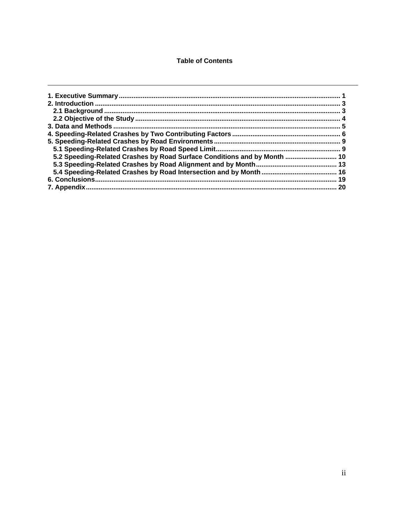#### **Table of Contents**

| 5.2 Speeding-Related Crashes by Road Surface Conditions and by Month  10 |  |
|--------------------------------------------------------------------------|--|
|                                                                          |  |
|                                                                          |  |
|                                                                          |  |
|                                                                          |  |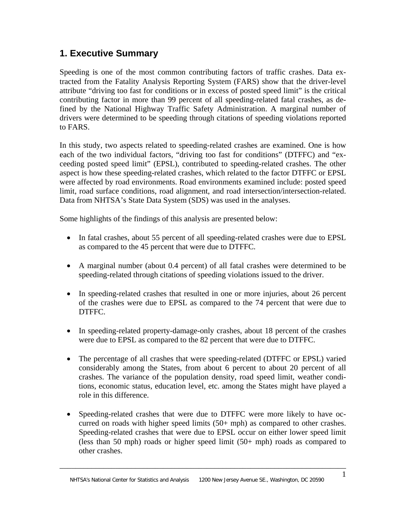# **1. Executive Summary**

Speeding is one of the most common contributing factors of traffic crashes. Data extracted from the Fatality Analysis Reporting System (FARS) show that the driver-level attribute "driving too fast for conditions or in excess of posted speed limit" is the critical contributing factor in more than 99 percent of all speeding-related fatal crashes, as defined by the National Highway Traffic Safety Administration. A marginal number of drivers were determined to be speeding through citations of speeding violations reported to FARS.

In this study, two aspects related to speeding-related crashes are examined. One is how each of the two individual factors, "driving too fast for conditions" (DTFFC) and "exceeding posted speed limit" (EPSL), contributed to speeding-related crashes. The other aspect is how these speeding-related crashes, which related to the factor DTFFC or EPSL were affected by road environments. Road environments examined include: posted speed limit, road surface conditions, road alignment, and road intersection/intersection-related. Data from NHTSA's State Data System (SDS) was used in the analyses.

Some highlights of the findings of this analysis are presented below:

- In fatal crashes, about 55 percent of all speeding-related crashes were due to EPSL as compared to the 45 percent that were due to DTFFC.
- A marginal number (about 0.4 percent) of all fatal crashes were determined to be speeding-related through citations of speeding violations issued to the driver.
- In speeding-related crashes that resulted in one or more injuries, about 26 percent of the crashes were due to EPSL as compared to the 74 percent that were due to DTFFC.
- In speeding-related property-damage-only crashes, about 18 percent of the crashes were due to EPSL as compared to the 82 percent that were due to DTFFC.
- $\bullet$ The percentage of all crashes that were speeding-related (DTFFC or EPSL) varied considerably among the States, from about 6 percent to about 20 percent of all crashes. The variance of the population density, road speed limit, weather conditions, economic status, education level, etc. among the States might have played a role in this difference.
- Speeding-related crashes that were due to DTFFC were more likely to have occurred on roads with higher speed limits (50+ mph) as compared to other crashes. Speeding-related crashes that were due to EPSL occur on either lower speed limit (less than 50 mph) roads or higher speed limit (50+ mph) roads as compared to other crashes.

\_\_\_\_\_\_\_\_\_\_\_\_\_\_\_\_\_\_\_\_\_\_\_\_\_\_\_\_\_\_\_\_\_\_\_\_\_\_\_\_\_\_\_\_\_\_\_\_\_\_\_\_\_\_\_\_\_\_\_\_\_\_\_\_\_\_\_\_\_\_\_\_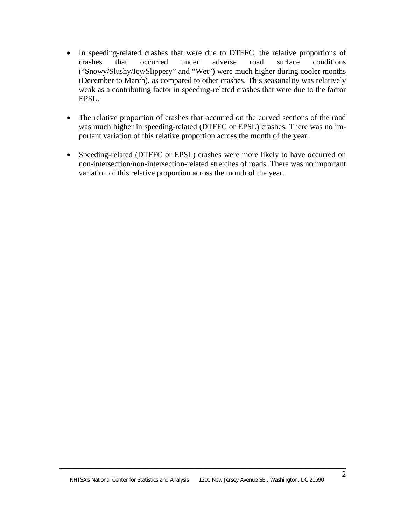- In speeding-related crashes that were due to DTFFC, the relative proportions of crashes that occurred under adverse road surface conditions ("Snowy/Slushy/Icy/Slippery" and "Wet") were much higher during cooler months (December to March), as compared to other crashes. This seasonality was relatively weak as a contributing factor in speeding-related crashes that were due to the factor EPSL.
- The relative proportion of crashes that occurred on the curved sections of the road was much higher in speeding-related (DTFFC or EPSL) crashes. There was no important variation of this relative proportion across the month of the year.
- $\bullet$ Speeding-related (DTFFC or EPSL) crashes were more likely to have occurred on non-intersection/non-intersection-related stretches of roads. There was no important variation of this relative proportion across the month of the year.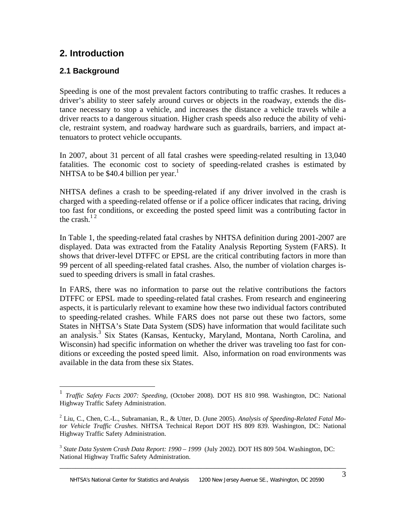# **2. Introduction**

# **2.1 Background**

 $\overline{a}$ 

Speeding is one of the most prevalent factors contributing to traffic crashes. It reduces a driver's ability to steer safely around curves or objects in the roadway, extends the distance necessary to stop a vehicle, and increases the distance a vehicle travels while a driver reacts to a dangerous situation. Higher crash speeds also reduce the ability of vehicle, restraint system, and roadway hardware such as guardrails, barriers, and impact attenuators to protect vehicle occupants.

In 2007, about 31 percent of all fatal crashes were speeding-related resulting in 13,040 fatalities. The economic cost to society of speeding-related crashes is estimated by NHTSA to be  $$40.4$  billion per year.<sup>1</sup>

NHTSA defines a crash to be speeding-related if any driver involved in the crash is charged with a speeding-related offense or if a police officer indicates that racing, driving too fast for conditions, or exceeding the posted speed limit was a contributing factor in the crash. $12$ 

In Table 1, the speeding-related fatal crashes by NHTSA definition during 2001-2007 are displayed. Data was extracted from the Fatality Analysis Reporting System (FARS). It shows that driver-level DTFFC or EPSL are the critical contributing factors in more than 99 percent of all speeding-related fatal crashes. Also, the number of violation charges issued to speeding drivers is small in fatal crashes.

In FARS, there was no information to parse out the relative contributions the factors DTFFC or EPSL made to speeding-related fatal crashes. From research and engineering aspects, it is particularly relevant to examine how these two individual factors contributed to speeding-related crashes. While FARS does not parse out these two factors, some States in NHTSA's State Data System (SDS) have information that would facilitate such an analysis.<sup>3</sup> Six States (Kansas, Kentucky, Maryland, Montana, North Carolina, and Wisconsin) had specific information on whether the driver was traveling too fast for conditions or exceeding the posted speed limit. Also, information on road environments was available in the data from these six States.

<sup>1</sup> *Traffic Safety Facts 2007: Speeding,* (October 2008). DOT HS 810 998. Washington, DC: National Highway Traffic Safety Administration.

<sup>2</sup> Liu, C., Chen, C.-L., Subramanian, R., & Utter, D. (June 2005). *Analysis of Speeding-Related Fatal Motor Vehicle Traffic Crashes.* NHTSA Technical Report DOT HS 809 839. Washington, DC: National Highway Traffic Safety Administration.

<sup>3</sup> *State Data System Crash Data Report: 1990 – 1999* (July 2002). DOT HS 809 504. Washington, DC: National Highway Traffic Safety Administration.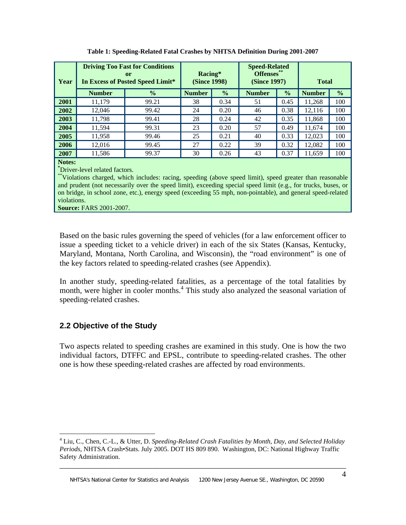| Year        | <b>Driving Too Fast for Conditions</b><br>or<br><b>In Excess of Posted Speed Limit*</b> |               | Racing*<br><b>(Since 1998)</b> |               | <b>Speed-Related</b><br>Offenses**<br><b>(Since 1997)</b> |               | <b>Total</b>  |               |  |
|-------------|-----------------------------------------------------------------------------------------|---------------|--------------------------------|---------------|-----------------------------------------------------------|---------------|---------------|---------------|--|
|             | <b>Number</b>                                                                           | $\frac{0}{0}$ | <b>Number</b>                  | $\frac{0}{0}$ | <b>Number</b>                                             | $\frac{1}{2}$ | <b>Number</b> | $\frac{0}{0}$ |  |
| 2001        | 11.179                                                                                  | 99.21         | 38                             | 0.34          | 51                                                        | 0.45          | 11,268        | 100           |  |
| 2002        | 12,046                                                                                  | 99.42         | 24                             | 0.20          | 46                                                        | 0.38          | 12,116        | 100           |  |
| 2003        | 11,798                                                                                  | 99.41         | 28                             | 0.24          | 42                                                        | 0.35          | 11,868        | 100           |  |
| 2004        | 11,594                                                                                  | 99.31         | 23                             | 0.20          | 57                                                        | 0.49          | 11,674        | 100           |  |
| 2005        | 11,958                                                                                  | 99.46         | 25                             | 0.21          | 40                                                        | 0.33          | 12,023        | 100           |  |
| 2006        | 12,016                                                                                  | 99.45         | 27                             | 0.22          | 39                                                        | 0.32          | 12,082        | 100           |  |
| 2007        | 11,586                                                                                  | 99.37         | 30                             | 0.26          | 43                                                        | 0.37          | 11,659        | 100           |  |
| <b>BY A</b> |                                                                                         |               |                                |               |                                                           |               |               |               |  |

**Table 1: Speeding-Related Fatal Crashes by NHTSA Definition During 2001-2007** 

**Notes:**<br>\*Driver-level related factors.

\*\*Violations charged, which includes: racing, speeding (above speed limit), speed greater than reasonable and prudent (not necessarily over the speed limit), exceeding special speed limit (e.g., for trucks, buses, or on bridge, in school zone, etc.), energy speed (exceeding 55 mph, non-pointable), and general speed-related violations.

**Source:** FARS 2001-2007.

Based on the basic rules governing the speed of vehicles (for a law enforcement officer to issue a speeding ticket to a vehicle driver) in each of the six States (Kansas, Kentucky, Maryland, Montana, North Carolina, and Wisconsin), the "road environment" is one of the key factors related to speeding-related crashes (see Appendix).

In another study, speeding-related fatalities, as a percentage of the total fatalities by month, were higher in cooler months.<sup>4</sup> This study also analyzed the seasonal variation of speeding-related crashes.

## **2.2 Objective of the Study**

Two aspects related to speeding crashes are examined in this study. One is how the two individual factors, DTFFC and EPSL, contribute to speeding-related crashes. The other one is how these speeding-related crashes are affected by road environments.

 4 Liu, C., Chen, C.-L., & Utter, D. *Speeding-Related Crash Fatalities by Month, Day, and Selected Holiday Periods*, NHTSA Crash•Stats. July 2005. DOT HS 809 890. Washington, DC: National Highway Traffic Safety Administration.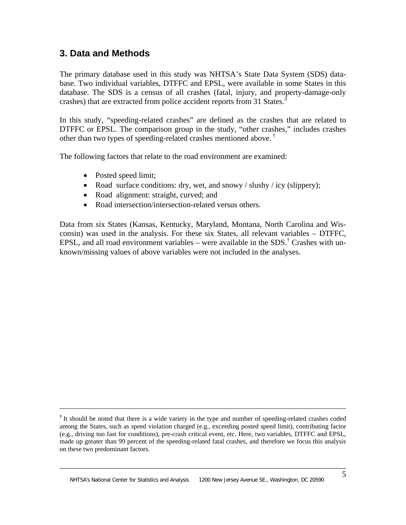# **3. Data and Methods**

The primary database used in this study was NHTSA's State Data System (SDS) database. Two individual variables, DTFFC and EPSL, were available in some States in this database. The SDS is a census of all crashes (fatal, injury, and property-damage-only crashes) that are extracted from police accident reports from 31 States.<sup>3</sup>

In this study, "speeding-related crashes" are defined as the crashes that are related to DTFFC or EPSL. The comparison group in the study, "other crashes," includes crashes other than two types of speeding-related crashes mentioned above.  $^{\dagger}$ 

The following factors that relate to the road environment are examined:

- Posted speed limit;
- Road surface conditions: dry, wet, and snowy / slushy / icy (slippery);
- Road alignment: straight, curved; and
- Road intersection/intersection-related versus others.

Data from six States (Kansas, Kentucky, Maryland, Montana, North Carolina and Wisconsin) was used in the analysis. For these six States, all relevant variables – DTFFC, EPSL, and all road environment variables – were available in the SDS.<sup>†</sup> Crashes with unknown/missing values of above variables were not included in the analyses.

**<sup>†</sup>** It should be noted that there is a wide variety in the type and number of speeding-related crashes coded among the States, such as speed violation charged (e.g., exceeding posted speed limit), contributing factor (e.g., driving too fast for conditions), pre-crash critical event, etc. Here, two variables, DTFFC and EPSL, made up greater than 99 percent of the speeding-related fatal crashes, and therefore we focus this analysis on these two predominant factors.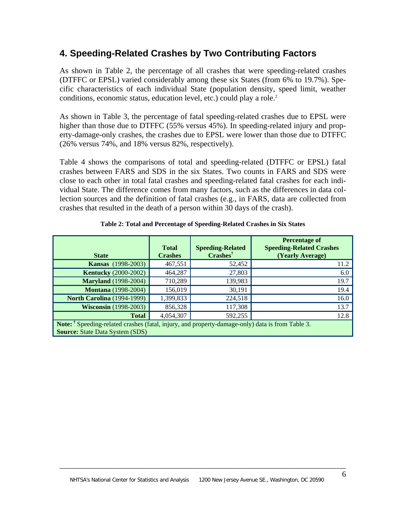# **4. Speeding-Related Crashes by Two Contributing Factors**

As shown in Table 2, the percentage of all crashes that were speeding-related crashes (DTFFC or EPSL) varied considerably among these six States (from 6% to 19.7%). Specific characteristics of each individual State (population density, speed limit, weather conditions, economic status, education level, etc.) could play a role.<sup>2</sup>

As shown in Table 3, the percentage of fatal speeding-related crashes due to EPSL were higher than those due to DTFFC (55% versus 45%). In speeding-related injury and property-damage-only crashes, the crashes due to EPSL were lower than those due to DTFFC (26% versus 74%, and 18% versus 82%, respectively).

Table 4 shows the comparisons of total and speeding-related (DTFFC or EPSL) fatal crashes between FARS and SDS in the six States. Two counts in FARS and SDS were close to each other in total fatal crashes and speeding-related fatal crashes for each individual State. The difference comes from many factors, such as the differences in data collection sources and the definition of fatal crashes (e.g., in FARS, data are collected from crashes that resulted in the death of a person within 30 days of the crash).

| <b>State</b>                                                                                                | <b>Total</b><br><b>Crashes</b> | <b>Speeding-Related</b><br>Crashes <sup>†</sup> | <b>Percentage of</b><br><b>Speeding-Related Crashes</b><br>(Yearly Average) |
|-------------------------------------------------------------------------------------------------------------|--------------------------------|-------------------------------------------------|-----------------------------------------------------------------------------|
| <b>Kansas</b> (1998-2003)                                                                                   | 467,551                        | 52,452                                          | 11.2                                                                        |
| <b>Kentucky</b> (2000-2002)                                                                                 | 464,287                        | 27,803                                          | 6.0                                                                         |
| <b>Maryland</b> (1998-2004)                                                                                 | 710,289                        | 139,983                                         | 19.7                                                                        |
| <b>Montana</b> (1998-2004)                                                                                  | 156,019                        | 30,191                                          | 19.4                                                                        |
| <b>North Carolina</b> (1994-1999)                                                                           | 1,399,833                      | 224,518                                         | 16.0                                                                        |
| <b>Wisconsin</b> (1998-2003)                                                                                | 856,328                        | 117,308                                         | 13.7                                                                        |
| <b>Total</b>                                                                                                | 4,054,307                      | 592,255                                         | 12.8                                                                        |
| Note: <sup>†</sup> Speeding-related crashes (fatal, injury, and property-damage-only) data is from Table 3. |                                |                                                 |                                                                             |
| <b>Source: State Data System (SDS)</b>                                                                      |                                |                                                 |                                                                             |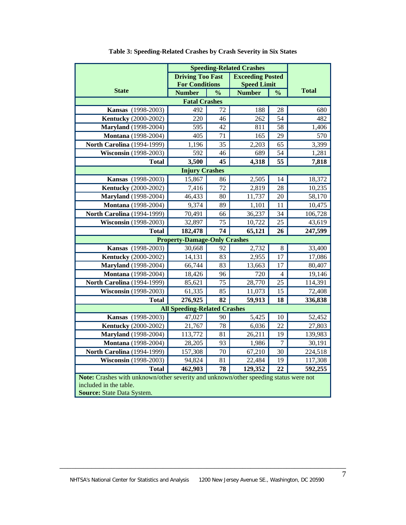|                                                             | <b>Speeding-Related Crashes</b>                                                      |               |                                               |                |              |  |  |  |  |  |  |
|-------------------------------------------------------------|--------------------------------------------------------------------------------------|---------------|-----------------------------------------------|----------------|--------------|--|--|--|--|--|--|
|                                                             | <b>Driving Too Fast</b><br><b>For Conditions</b>                                     |               | <b>Exceeding Posted</b><br><b>Speed Limit</b> |                |              |  |  |  |  |  |  |
| <b>State</b>                                                | <b>Number</b>                                                                        | $\frac{0}{0}$ | <b>Number</b>                                 | $\frac{0}{0}$  | <b>Total</b> |  |  |  |  |  |  |
|                                                             | <b>Fatal Crashes</b>                                                                 |               |                                               |                |              |  |  |  |  |  |  |
| <b>Kansas</b> (1998-2003)                                   | 492                                                                                  | 72            | 188                                           | 28             | 680          |  |  |  |  |  |  |
| <b>Kentucky</b> (2000-2002)                                 | 220                                                                                  | 46            | 262                                           | 54             | 482          |  |  |  |  |  |  |
| <b>Maryland</b> (1998-2004)                                 | 595                                                                                  | 42            | 811                                           | 58             | 1,406        |  |  |  |  |  |  |
| Montana (1998-2004)                                         | 405                                                                                  | 71            | 165                                           | 29             | 570          |  |  |  |  |  |  |
| <b>North Carolina</b> (1994-1999)                           | 1,196                                                                                | 35            | 2,203                                         | 65             | 3,399        |  |  |  |  |  |  |
| <b>Wisconsin</b> (1998-2003)                                | 592                                                                                  | 46            | 689                                           | 54             | 1,281        |  |  |  |  |  |  |
| <b>Total</b>                                                | 3,500                                                                                | 45            | 4,318                                         | 55             | 7,818        |  |  |  |  |  |  |
|                                                             | <b>Injury Crashes</b>                                                                |               |                                               |                |              |  |  |  |  |  |  |
| <b>Kansas</b> (1998-2003)                                   | 15,867                                                                               | 86            | 2,505                                         | 14             | 18,372       |  |  |  |  |  |  |
| <b>Kentucky</b> (2000-2002)                                 | 7,416                                                                                | 72            | 2,819                                         | 28             | 10,235       |  |  |  |  |  |  |
| <b>Maryland</b> (1998-2004)                                 | 46,433                                                                               | 80            | 11,737                                        | 20             | 58,170       |  |  |  |  |  |  |
| <b>Montana</b> (1998-2004)                                  | 9,374                                                                                | 89            | 1,101                                         | 11             | 10,475       |  |  |  |  |  |  |
| North Carolina (1994-1999)                                  | 70,491                                                                               | 66            | 36,237                                        | 34             | 106,728      |  |  |  |  |  |  |
| <b>Wisconsin</b> (1998-2003)                                | 32,897                                                                               | 75            | 10,722                                        | 25             | 43,619       |  |  |  |  |  |  |
| <b>Total</b>                                                | 182,478                                                                              | 74            | 65,121                                        | 26             | 247,599      |  |  |  |  |  |  |
|                                                             | <b>Property-Damage-Only Crashes</b>                                                  |               |                                               |                |              |  |  |  |  |  |  |
| <b>Kansas</b> (1998-2003)                                   | 30,668                                                                               | 92            | 2,732                                         | 8              | 33,400       |  |  |  |  |  |  |
| <b>Kentucky</b> (2000-2002)                                 | 14,131                                                                               | 83            | 2,955                                         | 17             | 17,086       |  |  |  |  |  |  |
| <b>Maryland</b> (1998-2004)                                 | 66,744                                                                               | 83            | 13,663                                        | 17             | 80,407       |  |  |  |  |  |  |
| <b>Montana</b> (1998-2004)                                  | 18,426                                                                               | 96            | 720                                           | $\overline{4}$ | 19,146       |  |  |  |  |  |  |
| <b>North Carolina</b> (1994-1999)                           | 85,621                                                                               | 75            | 28,770                                        | 25             | 114,391      |  |  |  |  |  |  |
| <b>Wisconsin</b> (1998-2003)                                | 61,335                                                                               | 85            | 11,073                                        | 15             | 72,408       |  |  |  |  |  |  |
| <b>Total</b>                                                | 276,925                                                                              | 82            | 59,913                                        | 18             | 336,838      |  |  |  |  |  |  |
|                                                             | <b>All Speeding-Related Crashes</b>                                                  |               |                                               |                |              |  |  |  |  |  |  |
| <b>Kansas</b> (1998-2003)                                   | 47,027                                                                               | 90            | 5,425                                         | 10             | 52,452       |  |  |  |  |  |  |
| <b>Kentucky</b> (2000-2002)                                 | 21,767                                                                               | 78            | 6,036                                         | 22             | 27,803       |  |  |  |  |  |  |
| Maryland (1998-2004)                                        | 113,772                                                                              | 81            | 26,211                                        | 19             | 139,983      |  |  |  |  |  |  |
| <b>Montana</b> (1998-2004)                                  | 28,205                                                                               | 93            | 1,986                                         | $\overline{7}$ | 30,191       |  |  |  |  |  |  |
| North Carolina (1994-1999)                                  | 157,308                                                                              | 70            | 67,210                                        | 30             | 224,518      |  |  |  |  |  |  |
| <b>Wisconsin</b> (1998-2003)                                | 94,824                                                                               | 81            | 22,484                                        | 19             | 117,308      |  |  |  |  |  |  |
| <b>Total</b>                                                | 462,903                                                                              | 78            | 129,352                                       | 22             | 592,255      |  |  |  |  |  |  |
| included in the table.<br><b>Source: State Data System.</b> | Note: Crashes with unknown/other severity and unknown/other speeding status were not |               |                                               |                |              |  |  |  |  |  |  |

**Table 3: Speeding-Related Crashes by Crash Severity in Six States**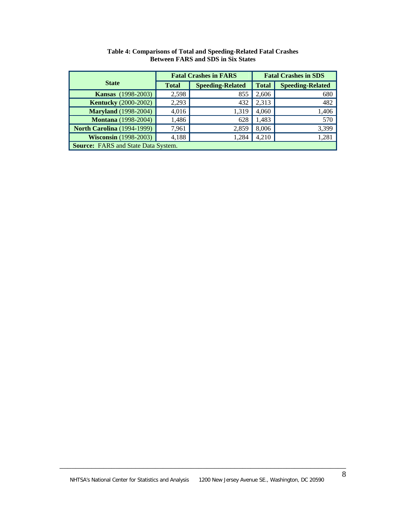|                                            |              | <b>Fatal Crashes in FARS</b> | <b>Fatal Crashes in SDS</b> |                         |  |  |  |  |  |
|--------------------------------------------|--------------|------------------------------|-----------------------------|-------------------------|--|--|--|--|--|
| <b>State</b>                               | <b>Total</b> | <b>Speeding-Related</b>      | <b>Total</b>                | <b>Speeding-Related</b> |  |  |  |  |  |
| <b>Kansas</b> (1998-2003)                  | 2,598        | 855                          | 2,606                       | 680                     |  |  |  |  |  |
| <b>Kentucky</b> (2000-2002)                | 2,293        | 432                          | 2,313                       | 482                     |  |  |  |  |  |
| <b>Maryland</b> (1998-2004)                | 4,016        | 1,319                        | 4,060                       | 1,406                   |  |  |  |  |  |
| <b>Montana</b> (1998-2004)                 | 1,486        | 628                          | 1,483                       | 570                     |  |  |  |  |  |
| <b>North Carolina</b> (1994-1999)          | 7,961        | 2,859                        | 8,006                       | 3,399                   |  |  |  |  |  |
| <b>Wisconsin</b> (1998-2003)               | 4,188        | 1,284                        | 4,210                       | 1,281                   |  |  |  |  |  |
| <b>Source:</b> FARS and State Data System. |              |                              |                             |                         |  |  |  |  |  |

**Table 4: Comparisons of Total and Speeding-Related Fatal Crashes Between FARS and SDS in Six States**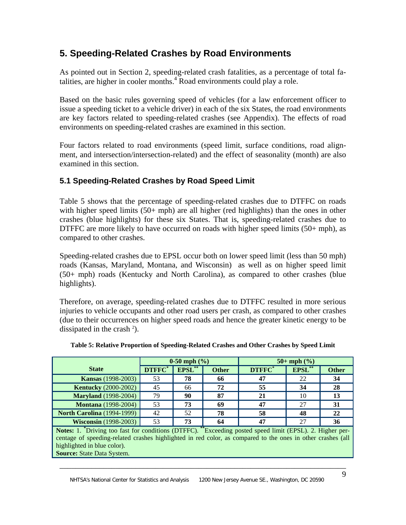# **5. Speeding-Related Crashes by Road Environments**

As pointed out in Section 2, speeding-related crash fatalities, as a percentage of total fatalities, are higher in cooler months.<sup>4</sup> Road environments could play a role.

Based on the basic rules governing speed of vehicles (for a law enforcement officer to issue a speeding ticket to a vehicle driver) in each of the six States, the road environments are key factors related to speeding-related crashes (see Appendix). The effects of road environments on speeding-related crashes are examined in this section.

Four factors related to road environments (speed limit, surface conditions, road alignment, and intersection/intersection-related) and the effect of seasonality (month) are also examined in this section.

# **5.1 Speeding-Related Crashes by Road Speed Limit**

Table 5 shows that the percentage of speeding-related crashes due to DTFFC on roads with higher speed limits (50+ mph) are all higher (red highlights) than the ones in other crashes (blue highlights) for these six States. That is, speeding-related crashes due to DTFFC are more likely to have occurred on roads with higher speed limits (50+ mph), as compared to other crashes.

Speeding-related crashes due to EPSL occur both on lower speed limit (less than 50 mph) roads (Kansas, Maryland, Montana, and Wisconsin) as well as on higher speed limit (50+ mph) roads (Kentucky and North Carolina), as compared to other crashes (blue highlights).

Therefore, on average, speeding-related crashes due to DTFFC resulted in more serious injuries to vehicle occupants and other road users per crash, as compared to other crashes (due to their occurrences on higher speed roads and hence the greater kinetic energy to be dissipated in the crash  $2$ ).

|                                                                                                                                                                                                     |        | $0-50$ mph $(\% )$ |              | $50+$ mph $(\% )$ |        |              |  |  |  |  |
|-----------------------------------------------------------------------------------------------------------------------------------------------------------------------------------------------------|--------|--------------------|--------------|-------------------|--------|--------------|--|--|--|--|
| <b>State</b>                                                                                                                                                                                        | DTFFC* | EPSL**             | <b>Other</b> | DTFFC*            | EPSL** | <b>Other</b> |  |  |  |  |
| <b>Kansas</b> (1998-2003)                                                                                                                                                                           | 53     | 78                 | 66           | 47                | 22     | 34           |  |  |  |  |
| <b>Kentucky</b> (2000-2002)                                                                                                                                                                         | 45     | 66                 | 72           | 55                | 34     | 28           |  |  |  |  |
| <b>Maryland</b> (1998-2004)                                                                                                                                                                         | 79     | 90                 | 87           | 21                | 10     | 13           |  |  |  |  |
| <b>Montana</b> (1998-2004)                                                                                                                                                                          | 53     | 73                 | 69           | 47                | 27     | 31           |  |  |  |  |
| <b>North Carolina</b> (1994-1999)                                                                                                                                                                   | 42     | 52                 | 78           | 58                | 48     | 22           |  |  |  |  |
| <b>Wisconsin</b> (1998-2003)                                                                                                                                                                        | 53     | 73                 | 64           | 47                | 27     | 36           |  |  |  |  |
| Notes: 1. "Driving too fast for conditions (DTFFC). ""Exceeding posted speed limit (EPSL). 2. Higher per-<br><u>. A contradicto de la contradicto de la contradicto de la contradicto de la con</u> |        |                    |              |                   |        |              |  |  |  |  |

centage of speeding-related crashes highlighted in red color, as compared to the ones in other crashes (all highlighted in blue color). **Source:** State Data System.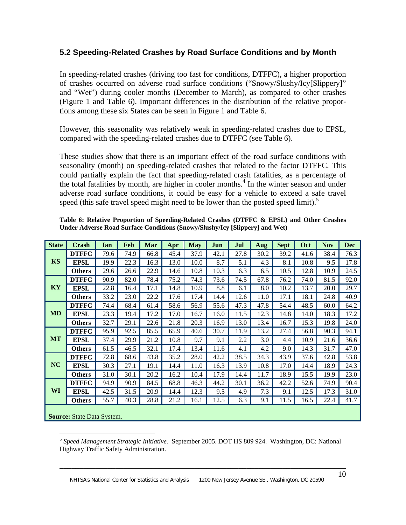## **5.2 Speeding-Related Crashes by Road Surface Conditions and by Month**

In speeding-related crashes (driving too fast for conditions, DTFFC), a higher proportion of crashes occurred on adverse road surface conditions ("Snowy/Slushy/Icy[Slippery]" and "Wet") during cooler months (December to March), as compared to other crashes (Figure 1 and Table 6). Important differences in the distribution of the relative proportions among these six States can be seen in Figure 1 and Table 6.

However, this seasonality was relatively weak in speeding-related crashes due to EPSL, compared with the speeding-related crashes due to DTFFC (see Table 6).

These studies show that there is an important effect of the road surface conditions with seasonality (month) on speeding-related crashes that related to the factor DTFFC. This could partially explain the fact that speeding-related crash fatalities, as a percentage of the total fatalities by month, are higher in cooler months.<sup>4</sup> In the winter season and under adverse road surface conditions, it could be easy for a vehicle to exceed a safe travel speed (this safe travel speed might need to be lower than the posted speed limit).<sup>5</sup>

| <b>State</b> | <b>Crash</b>                      | Jan  | <b>Feb</b> | <b>Mar</b> | Apr  | <b>May</b> | Jun  | Jul  | <b>Aug</b> | <b>Sept</b> | Oct  | <b>Nov</b> | <b>Dec</b> |
|--------------|-----------------------------------|------|------------|------------|------|------------|------|------|------------|-------------|------|------------|------------|
|              | <b>DTFFC</b>                      | 79.6 | 74.9       | 66.8       | 45.4 | 37.9       | 42.1 | 27.8 | 30.2       | 39.2        | 41.6 | 38.4       | 76.3       |
| <b>KS</b>    | <b>EPSL</b>                       | 19.9 | 22.3       | 16.3       | 13.0 | 10.0       | 8.7  | 5.1  | 4.3        | 8.1         | 10.8 | 9.5        | 17.8       |
|              | <b>Others</b>                     | 29.6 | 26.6       | 22.9       | 14.6 | 10.8       | 10.3 | 6.3  | 6.5        | 10.5        | 12.8 | 10.9       | 24.5       |
|              | <b>DTFFC</b>                      | 90.9 | 82.0       | 78.4       | 75.2 | 74.3       | 73.6 | 74.5 | 67.8       | 76.2        | 74.0 | 81.5       | 92.0       |
| KY           | <b>EPSL</b>                       | 22.8 | 16.4       | 17.1       | 14.8 | 10.9       | 8.8  | 6.1  | 8.0        | 10.2        | 13.7 | 20.0       | 29.7       |
|              | <b>Others</b>                     | 33.2 | 23.0       | 22.2       | 17.6 | 17.4       | 14.4 | 12.6 | 11.0       | 17.1        | 18.1 | 24.8       | 40.9       |
|              | <b>DTFFC</b>                      | 74.4 | 68.4       | 61.4       | 58.6 | 56.9       | 55.6 | 47.3 | 47.8       | 54.4        | 48.5 | 60.0       | 64.2       |
| <b>MD</b>    | <b>EPSL</b>                       | 23.3 | 19.4       | 17.2       | 17.0 | 16.7       | 16.0 | 11.5 | 12.3       | 14.8        | 14.0 | 18.3       | 17.2       |
|              | <b>Others</b>                     | 32.7 | 29.1       | 22.6       | 21.8 | 20.3       | 16.9 | 13.0 | 13.4       | 16.7        | 15.3 | 19.8       | 24.0       |
|              | <b>DTFFC</b>                      | 95.9 | 92.5       | 85.5       | 65.9 | 40.6       | 30.7 | 11.9 | 13.2       | 27.4        | 56.8 | 90.3       | 94.1       |
| <b>MT</b>    | <b>EPSL</b>                       | 37.4 | 29.9       | 21.2       | 10.8 | 9.7        | 9.1  | 2.2  | 3.0        | 4.4         | 10.9 | 21.6       | 36.6       |
|              | <b>Others</b>                     | 61.5 | 46.5       | 32.1       | 17.4 | 13.4       | 11.6 | 4.1  | 4.2        | 9.0         | 14.3 | 31.7       | 47.0       |
|              | <b>DTFFC</b>                      | 72.8 | 68.6       | 43.8       | 35.2 | 28.0       | 42.2 | 38.5 | 34.3       | 43.9        | 37.6 | 42.8       | 53.8       |
| NC           | <b>EPSL</b>                       | 30.3 | 27.1       | 19.1       | 14.4 | 11.0       | 16.3 | 13.9 | 10.8       | 17.0        | 14.4 | 18.9       | 24.3       |
|              | <b>Others</b>                     | 31.0 | 30.1       | 20.2       | 16.2 | 10.4       | 17.9 | 14.4 | 11.7       | 18.9        | 15.5 | 19.9       | 23.0       |
|              | <b>DTFFC</b>                      | 94.9 | 90.9       | 84.5       | 68.8 | 46.3       | 44.2 | 30.1 | 36.2       | 42.2        | 52.6 | 74.9       | 90.4       |
| WI           | <b>EPSL</b>                       | 42.5 | 31.5       | 20.9       | 14.4 | 12.3       | 9.5  | 4.9  | 7.3        | 9.1         | 12.5 | 17.3       | 31.0       |
|              | <b>Others</b>                     | 55.7 | 40.3       | 28.8       | 21.2 | 16.1       | 12.5 | 6.3  | 9.1        | 11.5        | 16.5 | 22.4       | 41.7       |
|              | <b>Source: State Data System.</b> |      |            |            |      |            |      |      |            |             |      |            |            |

**Table 6: Relative Proportion of Speeding-Related Crashes (DTFFC & EPSL) and Other Crashes Under Adverse Road Surface Conditions (Snowy/Slushy/Icy [Slippery] and Wet)** 

 $\overline{a}$ <sup>5</sup> *Speed Management Strategic Initiative.* September 2005. DOT HS 809 924. Washington, DC: National Highway Traffic Safety Administration.

\_\_\_\_\_\_\_\_\_\_\_\_\_\_\_\_\_\_\_\_\_\_\_\_\_\_\_\_\_\_\_\_\_\_\_\_\_\_\_\_\_\_\_\_\_\_\_\_\_\_\_\_\_\_\_\_\_\_\_\_\_\_\_\_\_\_\_\_\_\_\_\_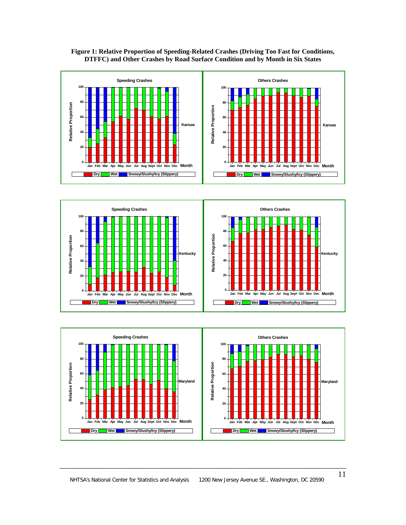

**Figure 1: Relative Proportion of Speeding-Related Crashes (Driving Too Fast for Conditions, DTFFC) and Other Crashes by Road Surface Condition and by Month in Six States** 



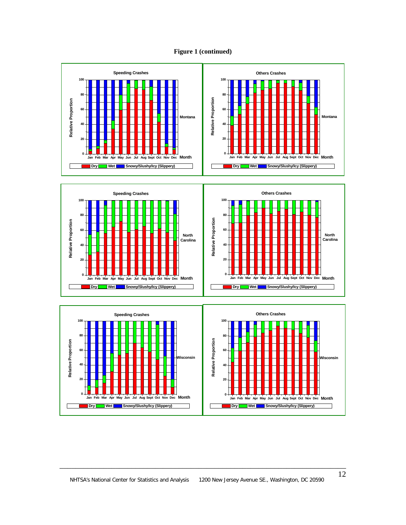





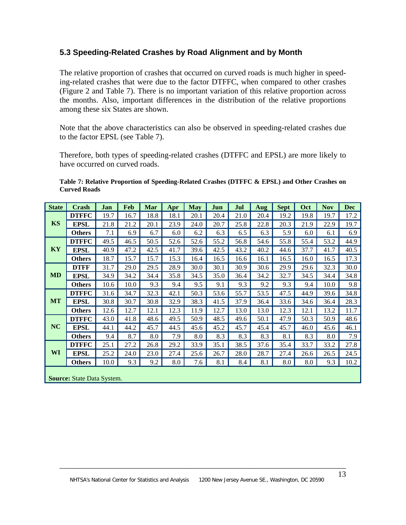## **5.3 Speeding-Related Crashes by Road Alignment and by Month**

The relative proportion of crashes that occurred on curved roads is much higher in speeding-related crashes that were due to the factor DTFFC, when compared to other crashes (Figure 2 and Table 7). There is no important variation of this relative proportion across the months. Also, important differences in the distribution of the relative proportions among these six States are shown.

Note that the above characteristics can also be observed in speeding-related crashes due to the factor EPSL (see Table 7).

Therefore, both types of speeding-related crashes (DTFFC and EPSL) are more likely to have occurred on curved roads.

| Table 7: Relative Proportion of Speeding-Related Crashes (DTFFC & EPSL) and Other Crashes on |  |  |
|----------------------------------------------------------------------------------------------|--|--|
| <b>Curved Roads</b>                                                                          |  |  |

| <b>State</b> | <b>Crash</b>                      | Jan  | <b>Feb</b> | Mar  | Apr  | <b>May</b> | Jun  | Jul  | Aug  | <b>Sept</b> | Oct  | <b>Nov</b> | <b>Dec</b> |
|--------------|-----------------------------------|------|------------|------|------|------------|------|------|------|-------------|------|------------|------------|
|              | <b>DTFFC</b>                      | 19.7 | 16.7       | 18.8 | 18.1 | 20.1       | 20.4 | 21.0 | 20.4 | 19.2        | 19.8 | 19.7       | 17.2       |
| <b>KS</b>    | <b>EPSL</b>                       | 21.8 | 21.2       | 20.1 | 23.9 | 24.0       | 20.7 | 25.8 | 22.8 | 20.3        | 21.9 | 22.9       | 19.7       |
|              | <b>Others</b>                     | 7.1  | 6.9        | 6.7  | 6.0  | 6.2        | 6.3  | 6.5  | 6.3  | 5.9         | 6.0  | 6.1        | 6.9        |
|              | <b>DTFFC</b>                      | 49.5 | 46.5       | 50.5 | 52.6 | 52.6       | 55.2 | 56.8 | 54.6 | 55.8        | 55.4 | 53.2       | 44.9       |
| KY           | <b>EPSL</b>                       | 40.9 | 47.2       | 42.5 | 41.7 | 39.6       | 42.5 | 43.2 | 40.2 | 44.6        | 37.7 | 41.7       | 40.5       |
|              | <b>Others</b>                     | 18.7 | 15.7       | 15.7 | 15.3 | 16.4       | 16.5 | 16.6 | 16.1 | 16.5        | 16.0 | 16.5       | 17.3       |
|              | <b>DTFF</b>                       | 31.7 | 29.0       | 29.5 | 28.9 | 30.0       | 30.1 | 30.9 | 30.6 | 29.9        | 29.6 | 32.3       | 30.0       |
| <b>MD</b>    | <b>EPSL</b>                       | 34.9 | 34.2       | 34.4 | 35.8 | 34.5       | 35.0 | 36.4 | 34.2 | 32.7        | 34.5 | 34.4       | 34.8       |
|              | <b>Others</b>                     | 10.6 | 10.0       | 9.3  | 9.4  | 9.5        | 9.1  | 9.3  | 9.2  | 9.3         | 9.4  | 10.0       | 9.8        |
|              | <b>DTFFC</b>                      | 31.6 | 34.7       | 32.3 | 42.1 | 50.3       | 53.6 | 55.7 | 53.5 | 47.5        | 44.9 | 39.6       | 34.8       |
| <b>MT</b>    | <b>EPSL</b>                       | 30.8 | 30.7       | 30.8 | 32.9 | 38.3       | 41.5 | 37.9 | 36.4 | 33.6        | 34.6 | 36.4       | 28.3       |
|              | <b>Others</b>                     | 12.6 | 12.7       | 12.1 | 12.3 | 11.9       | 12.7 | 13.0 | 13.0 | 12.3        | 12.1 | 13.2       | 11.7       |
|              | <b>DTFFC</b>                      | 43.0 | 41.8       | 48.6 | 49.5 | 50.9       | 48.5 | 49.6 | 50.1 | 47.9        | 50.3 | 50.9       | 48.6       |
| NC           | <b>EPSL</b>                       | 44.1 | 44.2       | 45.7 | 44.5 | 45.6       | 45.2 | 45.7 | 45.4 | 45.7        | 46.0 | 45.6       | 46.1       |
|              | <b>Others</b>                     | 9.4  | 8.7        | 8.0  | 7.9  | 8.0        | 8.3  | 8.3  | 8.3  | 8.1         | 8.3  | 8.0        | 7.9        |
|              | <b>DTFFC</b>                      | 25.1 | 27.2       | 26.8 | 29.2 | 33.9       | 35.1 | 38.5 | 37.6 | 35.4        | 33.7 | 33.2       | 27.8       |
| WI           | <b>EPSL</b>                       | 25.2 | 24.0       | 23.0 | 27.4 | 25.6       | 26.7 | 28.0 | 28.7 | 27.4        | 26.6 | 26.5       | 24.5       |
|              | <b>Others</b>                     | 10.0 | 9.3        | 9.2  | 8.0  | 7.6        | 8.1  | 8.4  | 8.1  | 8.0         | 8.0  | 9.3        | 10.2       |
|              | <b>Source: State Data System.</b> |      |            |      |      |            |      |      |      |             |      |            |            |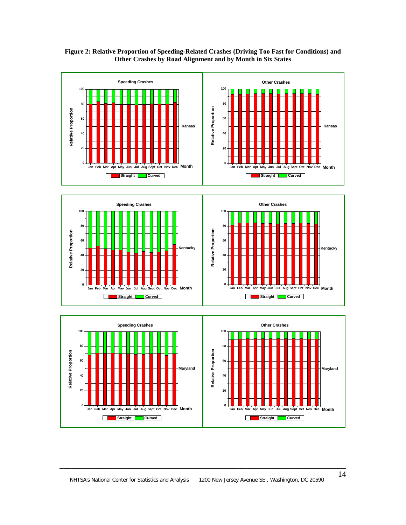

**Figure 2: Relative Proportion of Speeding-Related Crashes (Driving Too Fast for Conditions) and Other Crashes by Road Alignment and by Month in Six States** 

**Jan Feb Mar Apr May Jun Jul Aug Sept Oct Nov Dec Month**

**EXTERN** Straight Curved

**0**

**20**

\_\_\_\_\_\_\_\_\_\_\_\_\_\_\_\_\_\_\_\_\_\_\_\_\_\_\_\_\_\_\_\_\_\_\_\_\_\_\_\_\_\_\_\_\_\_\_\_\_\_\_\_\_\_\_\_\_\_\_\_\_\_\_\_\_\_\_\_\_\_\_\_

**0**

**20**

**Jan Feb Mar Apr May Jun Jul Aug Sept Oct Nov Dec Month**

**EXTERN** Straight Curved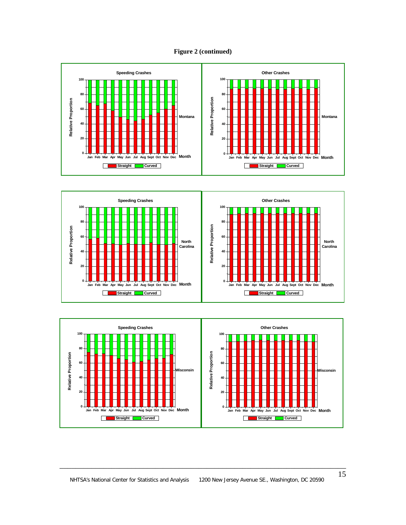





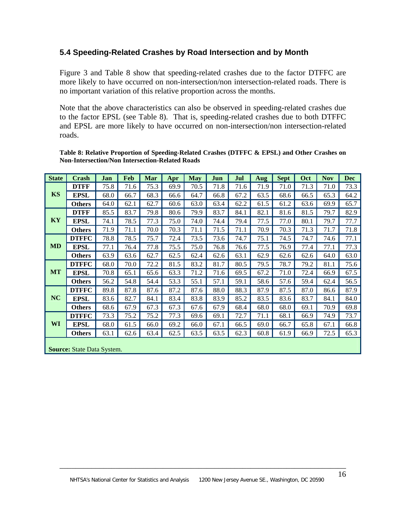## **5.4 Speeding-Related Crashes by Road Intersection and by Month**

Figure 3 and Table 8 show that speeding-related crashes due to the factor DTFFC are more likely to have occurred on non-intersection/non intersection-related roads. There is no important variation of this relative proportion across the months.

Note that the above characteristics can also be observed in speeding-related crashes due to the factor EPSL (see Table 8). That is, speeding-related crashes due to both DTFFC and EPSL are more likely to have occurred on non-intersection/non intersection-related roads.

#### **Table 8: Relative Proportion of Speeding-Related Crashes (DTFFC & EPSL) and Other Crashes on Non-Intersection/Non Intersection-Related Roads**

| <b>State</b> | <b>Crash</b>                      | Jan  | <b>Feb</b> | Mar  | Apr  | <b>May</b> | Jun  | Jul  | Aug  | <b>Sept</b> | Oct  | <b>Nov</b> | <b>Dec</b> |
|--------------|-----------------------------------|------|------------|------|------|------------|------|------|------|-------------|------|------------|------------|
| <b>KS</b>    | <b>DTFF</b>                       | 75.8 | 71.6       | 75.3 | 69.9 | 70.5       | 71.8 | 71.6 | 71.9 | 71.0        | 71.3 | 71.0       | 73.3       |
|              | <b>EPSL</b>                       | 68.0 | 66.7       | 68.3 | 66.6 | 64.7       | 66.8 | 67.2 | 63.5 | 68.6        | 66.5 | 65.3       | 64.2       |
|              | <b>Others</b>                     | 64.0 | 62.1       | 62.7 | 60.6 | 63.0       | 63.4 | 62.2 | 61.5 | 61.2        | 63.6 | 69.9       | 65.7       |
| KY           | <b>DTFF</b>                       | 85.5 | 83.7       | 79.8 | 80.6 | 79.9       | 83.7 | 84.1 | 82.1 | 81.6        | 81.5 | 79.7       | 82.9       |
|              | <b>EPSL</b>                       | 74.1 | 78.5       | 77.3 | 75.0 | 74.0       | 74.4 | 79.4 | 77.5 | 77.0        | 80.1 | 79.7       | 77.7       |
|              | <b>Others</b>                     | 71.9 | 71.1       | 70.0 | 70.3 | 71.1       | 71.5 | 71.1 | 70.9 | 70.3        | 71.3 | 71.7       | 71.8       |
| <b>MD</b>    | <b>DTFFC</b>                      | 78.8 | 78.5       | 75.7 | 72.4 | 73.5       | 73.6 | 74.7 | 75.1 | 74.5        | 74.7 | 74.6       | 77.1       |
|              | <b>EPSL</b>                       | 77.1 | 76.4       | 77.8 | 75.5 | 75.0       | 76.8 | 76.6 | 77.5 | 76.9        | 77.4 | 77.1       | 77.3       |
|              | <b>Others</b>                     | 63.9 | 63.6       | 62.7 | 62.5 | 62.4       | 62.6 | 63.1 | 62.9 | 62.6        | 62.6 | 64.0       | 63.0       |
| <b>MT</b>    | <b>DTFFC</b>                      | 68.0 | 70.0       | 72.2 | 81.5 | 83.2       | 81.7 | 80.5 | 79.5 | 78.7        | 79.2 | 81.1       | 75.6       |
|              | <b>EPSL</b>                       | 70.8 | 65.1       | 65.6 | 63.3 | 71.2       | 71.6 | 69.5 | 67.2 | 71.0        | 72.4 | 66.9       | 67.5       |
|              | <b>Others</b>                     | 56.2 | 54.8       | 54.4 | 53.3 | 55.1       | 57.1 | 59.1 | 58.6 | 57.6        | 59.4 | 62.4       | 56.5       |
| <b>NC</b>    | <b>DTFFC</b>                      | 89.8 | 87.8       | 87.6 | 87.2 | 87.6       | 88.0 | 88.3 | 87.9 | 87.5        | 87.0 | 86.6       | 87.9       |
|              | <b>EPSL</b>                       | 83.6 | 82.7       | 84.1 | 83.4 | 83.8       | 83.9 | 85.2 | 83.5 | 83.6        | 83.7 | 84.1       | 84.0       |
|              | <b>Others</b>                     | 68.6 | 67.9       | 67.3 | 67.3 | 67.6       | 67.9 | 68.4 | 68.0 | 68.0        | 69.1 | 70.9       | 69.8       |
| WI           | <b>DTFFC</b>                      | 73.3 | 75.2       | 75.2 | 77.3 | 69.6       | 69.1 | 72.7 | 71.1 | 68.1        | 66.9 | 74.9       | 73.7       |
|              | <b>EPSL</b>                       | 68.0 | 61.5       | 66.0 | 69.2 | 66.0       | 67.1 | 66.5 | 69.0 | 66.7        | 65.8 | 67.1       | 66.8       |
|              | <b>Others</b>                     | 63.1 | 62.6       | 63.4 | 62.5 | 63.5       | 63.5 | 62.3 | 60.8 | 61.9        | 66.9 | 72.5       | 65.3       |
|              | <b>Source: State Data System.</b> |      |            |      |      |            |      |      |      |             |      |            |            |

\_\_\_\_\_\_\_\_\_\_\_\_\_\_\_\_\_\_\_\_\_\_\_\_\_\_\_\_\_\_\_\_\_\_\_\_\_\_\_\_\_\_\_\_\_\_\_\_\_\_\_\_\_\_\_\_\_\_\_\_\_\_\_\_\_\_\_\_\_\_\_\_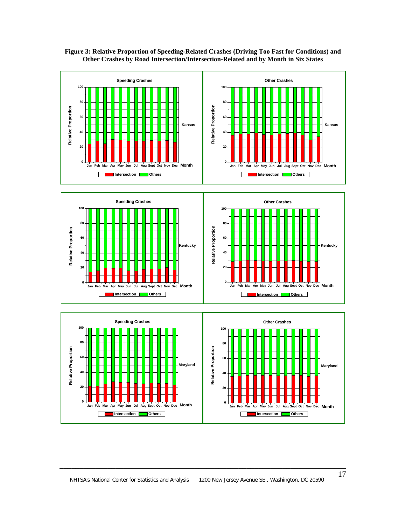

#### **Figure 3: Relative Proportion of Speeding-Related Crashes (Driving Too Fast for Conditions) and Other Crashes by Road Intersection/Intersection-Related and by Month in Six States**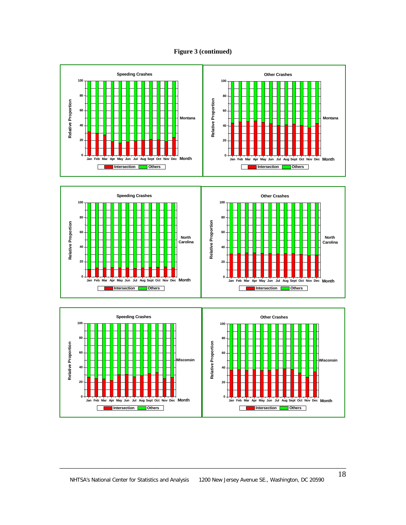



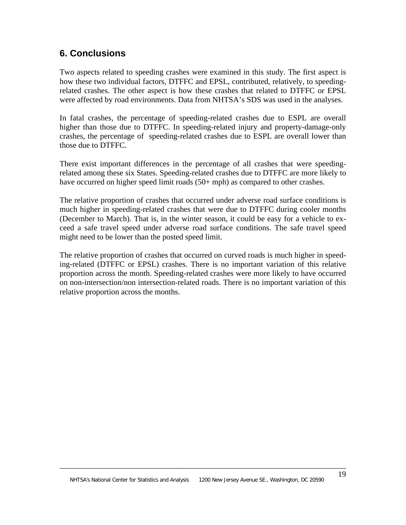# **6. Conclusions**

Two aspects related to speeding crashes were examined in this study. The first aspect is how these two individual factors, DTFFC and EPSL, contributed, relatively, to speedingrelated crashes. The other aspect is how these crashes that related to DTFFC or EPSL were affected by road environments. Data from NHTSA's SDS was used in the analyses.

In fatal crashes, the percentage of speeding-related crashes due to ESPL are overall higher than those due to DTFFC. In speeding-related injury and property-damage-only crashes, the percentage of speeding-related crashes due to ESPL are overall lower than those due to DTFFC.

There exist important differences in the percentage of all crashes that were speedingrelated among these six States. Speeding-related crashes due to DTFFC are more likely to have occurred on higher speed limit roads (50+ mph) as compared to other crashes.

The relative proportion of crashes that occurred under adverse road surface conditions is much higher in speeding-related crashes that were due to DTFFC during cooler months (December to March). That is, in the winter season, it could be easy for a vehicle to exceed a safe travel speed under adverse road surface conditions. The safe travel speed might need to be lower than the posted speed limit.

The relative proportion of crashes that occurred on curved roads is much higher in speeding-related (DTFFC or EPSL) crashes. There is no important variation of this relative proportion across the month. Speeding-related crashes were more likely to have occurred on non-intersection/non intersection-related roads. There is no important variation of this relative proportion across the months.

\_\_\_\_\_\_\_\_\_\_\_\_\_\_\_\_\_\_\_\_\_\_\_\_\_\_\_\_\_\_\_\_\_\_\_\_\_\_\_\_\_\_\_\_\_\_\_\_\_\_\_\_\_\_\_\_\_\_\_\_\_\_\_\_\_\_\_\_\_\_\_\_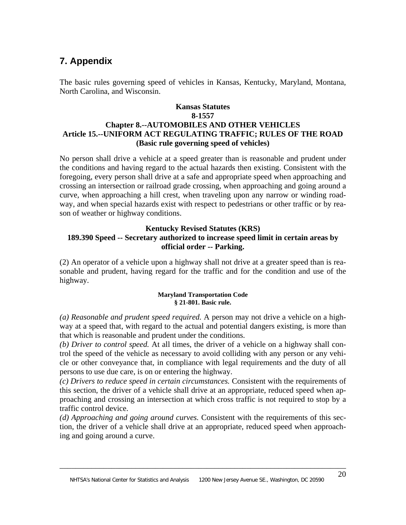# **7. Appendix**

The basic rules governing speed of vehicles in Kansas, Kentucky, Maryland, Montana, North Carolina, and Wisconsin.

## **Kansas Statutes 8-1557 Chapter 8.--AUTOMOBILES AND OTHER VEHICLES Article 15.--UNIFORM ACT REGULATING TRAFFIC; RULES OF THE ROAD (Basic rule governing speed of vehicles)**

No person shall drive a vehicle at a speed greater than is reasonable and prudent under the conditions and having regard to the actual hazards then existing. Consistent with the foregoing, every person shall drive at a safe and appropriate speed when approaching and crossing an intersection or railroad grade crossing, when approaching and going around a curve, when approaching a hill crest, when traveling upon any narrow or winding roadway, and when special hazards exist with respect to pedestrians or other traffic or by reason of weather or highway conditions.

## **Kentucky Revised Statutes (KRS) 189.390 Speed -- Secretary authorized to increase speed limit in certain areas by official order -- Parking.**

(2) An operator of a vehicle upon a highway shall not drive at a greater speed than is reasonable and prudent, having regard for the traffic and for the condition and use of the highway.

#### **Maryland Transportation Code § 21-801. Basic rule.**

*(a) Reasonable and prudent speed required.* A person may not drive a vehicle on a highway at a speed that, with regard to the actual and potential dangers existing, is more than that which is reasonable and prudent under the conditions.

*(b) Driver to control speed.* At all times, the driver of a vehicle on a highway shall control the speed of the vehicle as necessary to avoid colliding with any person or any vehicle or other conveyance that, in compliance with legal requirements and the duty of all persons to use due care, is on or entering the highway.

*(c) Drivers to reduce speed in certain circumstances.* Consistent with the requirements of this section, the driver of a vehicle shall drive at an appropriate, reduced speed when approaching and crossing an intersection at which cross traffic is not required to stop by a traffic control device.

*(d) Approaching and going around curves.* Consistent with the requirements of this section, the driver of a vehicle shall drive at an appropriate, reduced speed when approaching and going around a curve.

\_\_\_\_\_\_\_\_\_\_\_\_\_\_\_\_\_\_\_\_\_\_\_\_\_\_\_\_\_\_\_\_\_\_\_\_\_\_\_\_\_\_\_\_\_\_\_\_\_\_\_\_\_\_\_\_\_\_\_\_\_\_\_\_\_\_\_\_\_\_\_\_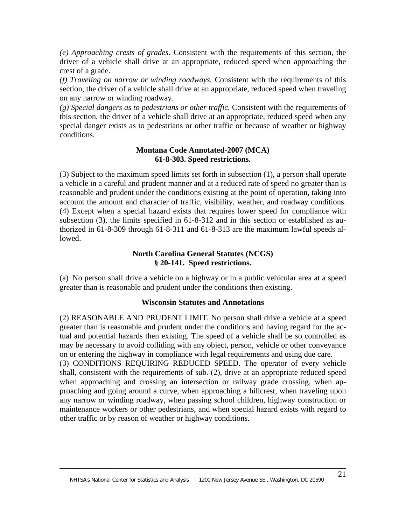*(e) Approaching crests of grades.* Consistent with the requirements of this section, the driver of a vehicle shall drive at an appropriate, reduced speed when approaching the crest of a grade.

*(f) Traveling on narrow or winding roadways.* Consistent with the requirements of this section, the driver of a vehicle shall drive at an appropriate, reduced speed when traveling on any narrow or winding roadway.

*(g) Special dangers as to pedestrians or other traffic.* Consistent with the requirements of this section, the driver of a vehicle shall drive at an appropriate, reduced speed when any special danger exists as to pedestrians or other traffic or because of weather or highway conditions.

#### **Montana Code Annotated-2007 (MCA) 61-8-303. Speed restrictions.**

(3) Subject to the maximum speed limits set forth in subsection (1), a person shall operate a vehicle in a careful and prudent manner and at a reduced rate of speed no greater than is reasonable and prudent under the conditions existing at the point of operation, taking into account the amount and character of traffic, visibility, weather, and roadway conditions. (4) Except when a special hazard exists that requires lower speed for compliance with subsection (3), the limits specified in 61-8-312 and in this section or established as authorized in 61-8-309 through 61-8-311 and 61-8-313 are the maximum lawful speeds allowed.

### **North Carolina General Statutes (NCGS) § 20-141. Speed restrictions.**

(a) No person shall drive a vehicle on a highway or in a public vehicular area at a speed greater than is reasonable and prudent under the conditions then existing.

### **Wisconsin Statutes and Annotations**

(2) REASONABLE AND PRUDENT LIMIT. No person shall drive a vehicle at a speed greater than is reasonable and prudent under the conditions and having regard for the actual and potential hazards then existing. The speed of a vehicle shall be so controlled as may be necessary to avoid colliding with any object, person, vehicle or other conveyance on or entering the highway in compliance with legal requirements and using due care. (3) CONDITIONS REQUIRING REDUCED SPEED. The operator of every vehicle shall, consistent with the requirements of sub. (2), drive at an appropriate reduced speed when approaching and crossing an intersection or railway grade crossing, when approaching and going around a curve, when approaching a hillcrest, when traveling upon any narrow or winding roadway, when passing school children, highway construction or maintenance workers or other pedestrians, and when special hazard exists with regard to other traffic or by reason of weather or highway conditions.